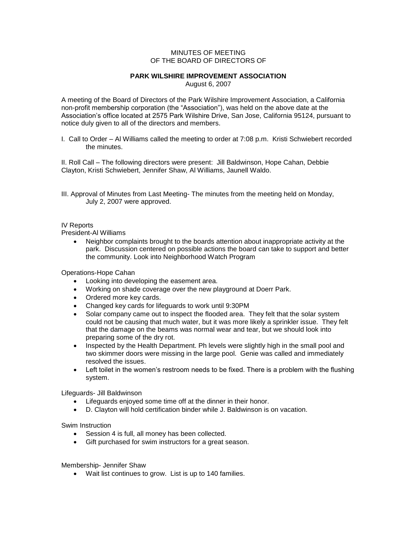## MINUTES OF MEETING OF THE BOARD OF DIRECTORS OF

## **PARK WILSHIRE IMPROVEMENT ASSOCIATION**

August 6, 2007

A meeting of the Board of Directors of the Park Wilshire Improvement Association, a California non-profit membership corporation (the "Association"), was held on the above date at the Association's office located at 2575 Park Wilshire Drive, San Jose, California 95124, pursuant to notice duly given to all of the directors and members.

I. Call to Order – Al Williams called the meeting to order at 7:08 p.m. Kristi Schwiebert recorded the minutes.

II. Roll Call – The following directors were present: Jill Baldwinson, Hope Cahan, Debbie Clayton, Kristi Schwiebert, Jennifer Shaw, Al Williams, Jaunell Waldo.

III. Approval of Minutes from Last Meeting- The minutes from the meeting held on Monday, July 2, 2007 were approved.

## IV Reports

President-Al Williams

 Neighbor complaints brought to the boards attention about inappropriate activity at the park. Discussion centered on possible actions the board can take to support and better the community. Look into Neighborhood Watch Program

Operations-Hope Cahan

- Looking into developing the easement area.
- Working on shade coverage over the new playground at Doerr Park.
- Ordered more key cards.
- Changed key cards for lifeguards to work until 9:30PM
- Solar company came out to inspect the flooded area. They felt that the solar system could not be causing that much water, but it was more likely a sprinkler issue. They felt that the damage on the beams was normal wear and tear, but we should look into preparing some of the dry rot.
- Inspected by the Health Department. Ph levels were slightly high in the small pool and two skimmer doors were missing in the large pool. Genie was called and immediately resolved the issues.
- Left toilet in the women's restroom needs to be fixed. There is a problem with the flushing system.

Lifeguards- Jill Baldwinson

- Lifeguards enjoyed some time off at the dinner in their honor.
- D. Clayton will hold certification binder while J. Baldwinson is on vacation.

Swim Instruction

- Session 4 is full, all money has been collected.
- Gift purchased for swim instructors for a great season.

## Membership- Jennifer Shaw

Wait list continues to grow. List is up to 140 families.